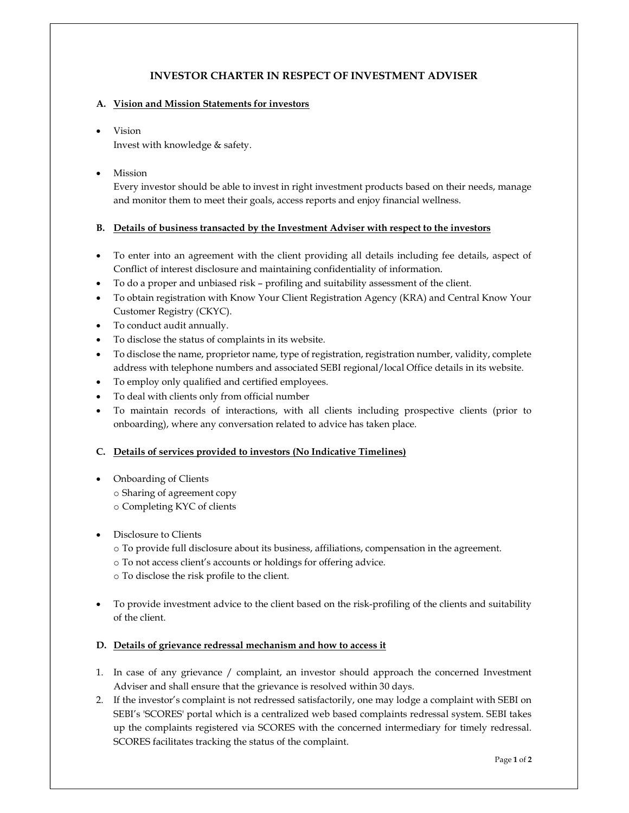# INVESTOR CHARTER IN RESPECT OF INVESTMENT ADVISER

### A. Vision and Mission Statements for investors

- Vision Invest with knowledge & safety.
- Mission

Every investor should be able to invest in right investment products based on their needs, manage and monitor them to meet their goals, access reports and enjoy financial wellness.

### B. Details of business transacted by the Investment Adviser with respect to the investors

- To enter into an agreement with the client providing all details including fee details, aspect of Conflict of interest disclosure and maintaining confidentiality of information.
- To do a proper and unbiased risk profiling and suitability assessment of the client.
- To obtain registration with Know Your Client Registration Agency (KRA) and Central Know Your Customer Registry (CKYC).
- To conduct audit annually.
- To disclose the status of complaints in its website.
- To disclose the name, proprietor name, type of registration, registration number, validity, complete address with telephone numbers and associated SEBI regional/local Office details in its website.
- To employ only qualified and certified employees.
- To deal with clients only from official number
- To maintain records of interactions, with all clients including prospective clients (prior to onboarding), where any conversation related to advice has taken place.

# C. Details of services provided to investors (No Indicative Timelines)

- Onboarding of Clients
	- o Sharing of agreement copy
	- o Completing KYC of clients
- Disclosure to Clients
	- o To provide full disclosure about its business, affiliations, compensation in the agreement.
	- o To not access client's accounts or holdings for offering advice.
	- o To disclose the risk profile to the client.
- To provide investment advice to the client based on the risk-profiling of the clients and suitability of the client.

#### D. Details of grievance redressal mechanism and how to access it

- 1. In case of any grievance / complaint, an investor should approach the concerned Investment Adviser and shall ensure that the grievance is resolved within 30 days.
- 2. If the investor's complaint is not redressed satisfactorily, one may lodge a complaint with SEBI on SEBI's 'SCORES' portal which is a centralized web based complaints redressal system. SEBI takes up the complaints registered via SCORES with the concerned intermediary for timely redressal. SCORES facilitates tracking the status of the complaint.